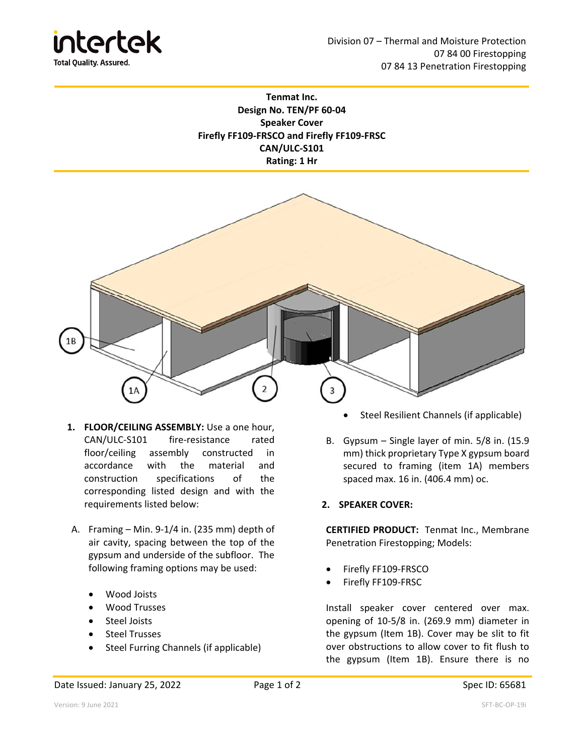

## **Tenmat Inc. Design No. TEN/PF 60‐04 Speaker Cover Firefly FF109‐FRSCO and Firefly FF109‐FRSC CAN/ULC‐S101 Rating: 1 Hr**



- **1. FLOOR/CEILING ASSEMBLY:** Use a one hour, CAN/ULC‐S101 fire‐resistance rated floor/ceiling assembly constructed in accordance with the material and construction specifications of the corresponding listed design and with the requirements listed below:
- A. Framing Min. 9‐1/4 in. (235 mm) depth of air cavity, spacing between the top of the gypsum and underside of the subfloor. The following framing options may be used:
	- Wood Joists
	- Wood Trusses
	- Steel Joists
	- Steel Trusses
	- Steel Furring Channels (if applicable)
- Steel Resilient Channels (if applicable)
- B. Gypsum Single layer of min. 5/8 in. (15.9 mm) thick proprietary Type X gypsum board secured to framing (item 1A) members spaced max. 16 in. (406.4 mm) oc.

## **2. SPEAKER COVER:**

**CERTIFIED PRODUCT:**  Tenmat Inc., Membrane Penetration Firestopping; Models:

- Firefly FF109‐FRSCO
- Firefly FF109‐FRSC

Install speaker cover centered over max. opening of 10‐5/8 in. (269.9 mm) diameter in the gypsum (Item 1B). Cover may be slit to fit over obstructions to allow cover to fit flush to the gypsum (Item 1B). Ensure there is no